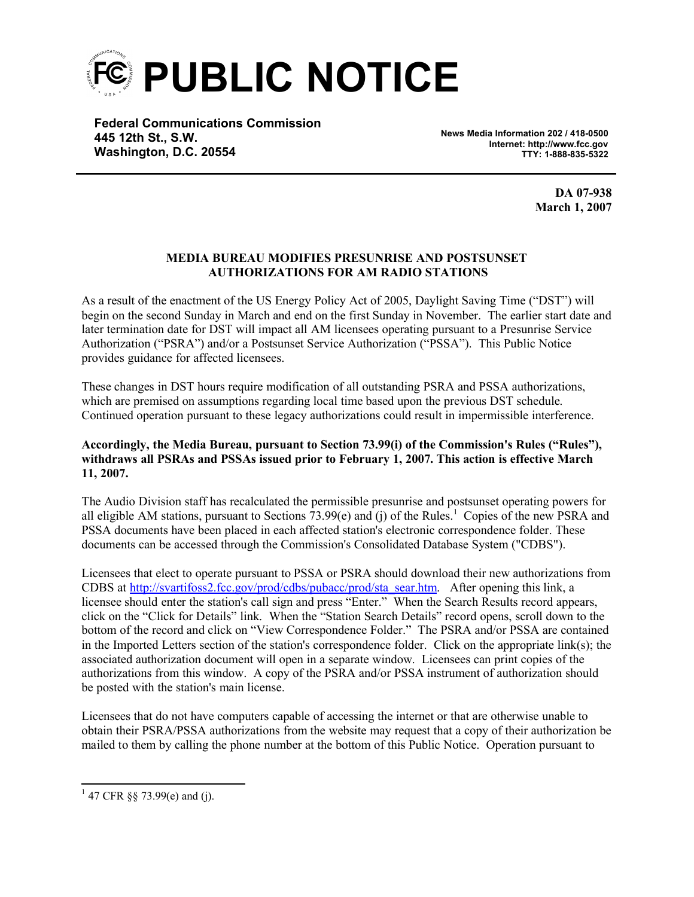

**Federal Communications Commission 445 12th St., S.W. Washington, D.C. 20554**

**News Media Information 202 / 418-0500 Internet: http://www.fcc.gov TTY: 1-888-835-5322**

> **DA 07-938 March 1, 2007**

## **MEDIA BUREAU MODIFIES PRESUNRISE AND POSTSUNSET AUTHORIZATIONS FOR AM RADIO STATIONS**

As a result of the enactment of the US Energy Policy Act of 2005, Daylight Saving Time ("DST") will begin on the second Sunday in March and end on the first Sunday in November. The earlier start date and later termination date for DST will impact all AM licensees operating pursuant to a Presunrise Service Authorization ("PSRA") and/or a Postsunset Service Authorization ("PSSA"). This Public Notice provides guidance for affected licensees.

These changes in DST hours require modification of all outstanding PSRA and PSSA authorizations, which are premised on assumptions regarding local time based upon the previous DST schedule. Continued operation pursuant to these legacy authorizations could result in impermissible interference.

## **Accordingly, the Media Bureau, pursuant to Section 73.99(i) of the Commission's Rules ("Rules"), withdraws all PSRAs and PSSAs issued prior to February 1, 2007. This action is effective March 11, 2007.**

The Audio Division staff has recalculated the permissible presunrise and postsunset operating powers for all eligible AM stations, pursuant to Sections  $73.99(e)$  and (j) of the Rules.<sup>1</sup> Copies of the new PSRA and PSSA documents have been placed in each affected station's electronic correspondence folder. These documents can be accessed through the Commission's Consolidated Database System ("CDBS").

Licensees that elect to operate pursuant to PSSA or PSRA should download their new authorizations from CDBS at http://svartifoss2.fcc.gov/prod/cdbs/pubacc/prod/sta\_sear.htm. After opening this link, a licensee should enter the station's call sign and press "Enter." When the Search Results record appears, click on the "Click for Details" link. When the "Station Search Details" record opens, scroll down to the bottom of the record and click on "View Correspondence Folder." The PSRA and/or PSSA are contained in the Imported Letters section of the station's correspondence folder. Click on the appropriate link(s); the associated authorization document will open in a separate window. Licensees can print copies of the authorizations from this window. A copy of the PSRA and/or PSSA instrument of authorization should be posted with the station's main license.

Licensees that do not have computers capable of accessing the internet or that are otherwise unable to obtain their PSRA/PSSA authorizations from the website may request that a copy of their authorization be mailed to them by calling the phone number at the bottom of this Public Notice. Operation pursuant to

<sup>&</sup>lt;sup>1</sup> 47 CFR §§ 73.99(e) and (j).